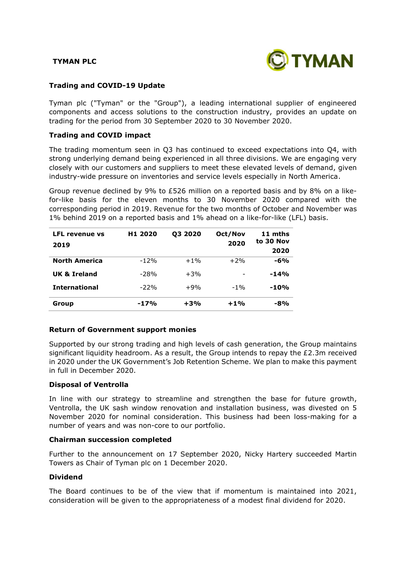# **TYMAN PLC**



# **Trading and COVID-19 Update**

Tyman plc ("Tyman" or the "Group"), a leading international supplier of engineered components and access solutions to the construction industry, provides an update on trading for the period from 30 September 2020 to 30 November 2020.

# **Trading and COVID impact**

The trading momentum seen in Q3 has continued to exceed expectations into Q4, with strong underlying demand being experienced in all three divisions. We are engaging very closely with our customers and suppliers to meet these elevated levels of demand, given industry-wide pressure on inventories and service levels especially in North America.

Group revenue declined by 9% to £526 million on a reported basis and by 8% on a likefor-like basis for the eleven months to 30 November 2020 compared with the corresponding period in 2019. Revenue for the two months of October and November was 1% behind 2019 on a reported basis and 1% ahead on a like-for-like (LFL) basis.

| <b>LFL revenue vs</b><br>2019 | H <sub>1</sub> 2020 | 03 2020 | Oct/Nov<br>2020 | 11 mths<br>to 30 Nov<br>2020 |
|-------------------------------|---------------------|---------|-----------------|------------------------------|
| <b>North America</b>          | $-12%$              | $+1\%$  | $+2%$           | $-6%$                        |
| UK & Ireland                  | $-28%$              | $+3%$   |                 | $-14%$                       |
| <b>International</b>          | $-22%$              | $+9%$   | $-1\%$          | $-10%$                       |
| Group                         | $-17%$              | $+3%$   | $+1%$           | $-8%$                        |

### **Return of Government support monies**

Supported by our strong trading and high levels of cash generation, the Group maintains significant liquidity headroom. As a result, the Group intends to repay the  $E2.3m$  received in 2020 under the UK Government's Job Retention Scheme. We plan to make this payment in full in December 2020.

### **Disposal of Ventrolla**

In line with our strategy to streamline and strengthen the base for future growth, Ventrolla, the UK sash window renovation and installation business, was divested on 5 November 2020 for nominal consideration. This business had been loss-making for a number of years and was non-core to our portfolio.

### **Chairman succession completed**

Further to the announcement on 17 September 2020, Nicky Hartery succeeded Martin Towers as Chair of Tyman plc on 1 December 2020.

# **Dividend**

The Board continues to be of the view that if momentum is maintained into 2021, consideration will be given to the appropriateness of a modest final dividend for 2020.